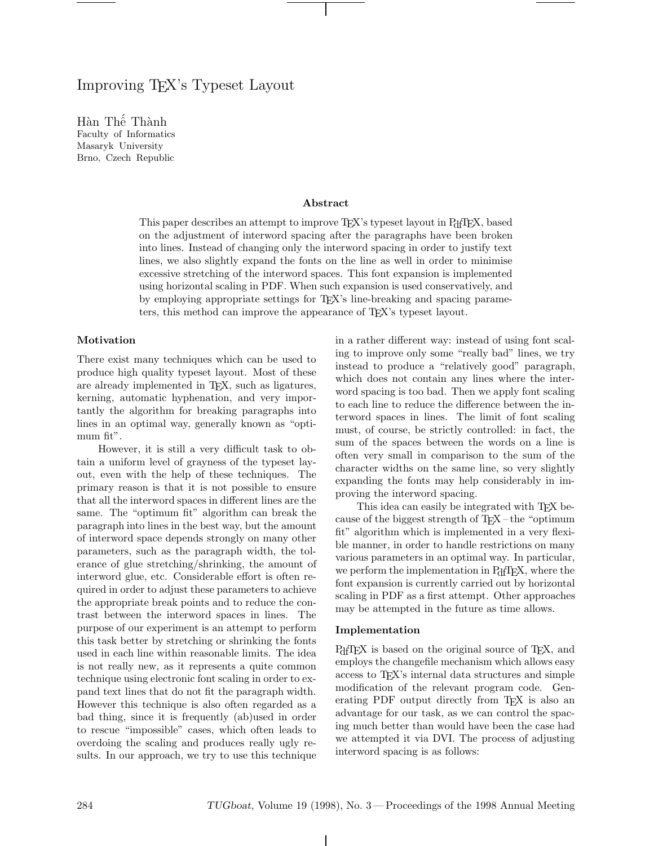# Improving TEX's Typeset Layout

Hàn Thế Thành Faculty of Informatics Masaryk University Brno, Czech Republic

### **Abstract**

This paper describes an attempt to improve T<sub>E</sub>X's typeset layout in P<sub>df</sub>T<sub>E</sub>X, based on the adjustment of interword spacing after the paragraphs have been broken into lines. Instead of changing only the interword spacing in order to justify text lines, we also slightly expand the fonts on the line as well in order to minimise excessive stretching of the interword spaces. This font expansion is implemented using horizontal scaling in PDF. When such expansion is used conservatively, and by employing appropriate settings for TEX's line-breaking and spacing parameters, this method can improve the appearance of TEX's typeset layout.

## **Motivation**

There exist many techniques which can be used to produce high quality typeset layout. Most of these are already implemented in T<sub>E</sub>X, such as ligatures, kerning, automatic hyphenation, and very importantly the algorithm for breaking paragraphs into lines in an optimal way, generally known as "optimum fit".

However, it is still a very difficult task to obtain a uniform level of grayness of the typeset layout, even with the help of these techniques. The primary reason is that it is not possible to ensure that all the interword spaces in different lines are the same. The "optimum fit" algorithm can break the paragraph into lines in the best way, but the amount of interword space depends strongly on many other parameters, such as the paragraph width, the tolerance of glue stretching/shrinking, the amount of interword glue, etc. Considerable effort is often required in order to adjust these parameters to achieve the appropriate break points and to reduce the contrast between the interword spaces in lines. The purpose of our experiment is an attempt to perform this task better by stretching or shrinking the fonts used in each line within reasonable limits. The idea is not really new, as it represents a quite common technique using electronic font scaling in order to expand text lines that do not fit the paragraph width. However this technique is also often regarded as a bad thing, since it is frequently (ab)used in order to rescue "impossible" cases, which often leads to overdoing the scaling and produces really ugly results. In our approach, we try to use this technique in a rather different way: instead of using font scaling to improve only some "really bad" lines, we try instead to produce a "relatively good" paragraph, which does not contain any lines where the interword spacing is too bad. Then we apply font scaling to each line to reduce the difference between the interword spaces in lines. The limit of font scaling must, of course, be strictly controlled: in fact, the sum of the spaces between the words on a line is often very small in comparison to the sum of the character widths on the same line, so very slightly expanding the fonts may help considerably in improving the interword spacing.

This idea can easily be integrated with T<sub>EX</sub> because of the biggest strength of  $T_F X$  – the "optimum" fit" algorithm which is implemented in a very flexible manner, in order to handle restrictions on many various parameters in an optimal way. In particular, we perform the implementation in PdfT<sub>E</sub>X, where the font expansion is currently carried out by horizontal scaling in PDF as a first attempt. Other approaches may be attempted in the future as time allows.

### **Implementation**

P<sub>df</sub>T<sub>EX</sub> is based on the original source of T<sub>EX</sub>, and employs the changefile mechanism which allows easy access to TEX's internal data structures and simple modification of the relevant program code. Generating PDF output directly from T<sub>E</sub>X is also an advantage for our task, as we can control the spacing much better than would have been the case had we attempted it via DVI. The process of adjusting interword spacing is as follows: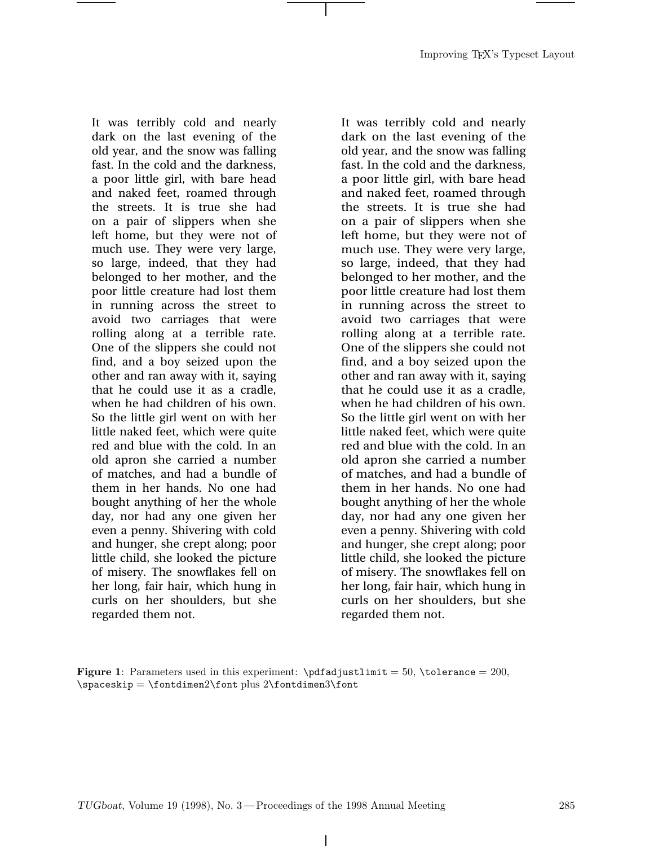It was terribly cold and nearly dark on the last evening of the old year, and the snow was falling fast. In the cold and the darkness, a poor little girl, with bare head and naked feet, roamed through the streets. It is true she had on a pair of slippers when she left home, but they were not of much use. They were very large, so large, indeed, that they had belonged to her mother, and the poor little creature had lost them in running across the street to avoid two carriages that were rolling along at a terrible rate. One of the slippers she could not find, and a boy seized upon the other and ran away with it, saying that he could use it as a cradle, when he had children of his own. So the little girl went on with her little naked feet, which were quite red and blue with the cold. In an old apron she carried a number of matches, and had a bundle of them in her hands. No one had bought anything of her the whole day, nor had any one given her even a penny. Shivering with cold and hunger, she crept along; poor little child, she looked the picture of misery. The snowflakes fell on her long, fair hair, which hung in curls on her shoulders, but she regarded them not.

It was terribly cold and nearly dark on the last evening of the old year, and the snow was falling fast. In the cold and the darkness, a poor little girl, with bare head and naked feet, roamed through the streets. It is true she had on a pair of slippers when she left home, but they were not of much use. They were very large, so large, indeed, that they had belonged to her mother, and the poor little creature had lost them in running across the street to avoid two carriages that were rolling along at a terrible rate. One of the slippers she could not find, and a boy seized upon the other and ran away with it, saying that he could use it as a cradle, when he had children of his own. So the little girl went on with her little naked feet, which were quite red and blue with the cold. In an old apron she carried a number of matches, and had a bundle of them in her hands. No one had bought anything of her the whole day, nor had any one given her even a penny. Shivering with cold and hunger, she crept along; poor little child, she looked the picture of misery. The snowflakes fell on her long, fair hair, which hung in curls on her shoulders, but she regarded them not.

**Figure 1**: Parameters used in this experiment:  $\pfadjustlimit = 50$ ,  $\tolerance = 200$ ,  $\sp{spacekip} = \font{ontdimen2\font{font} plus 2\font{ontdimen3\font} \}$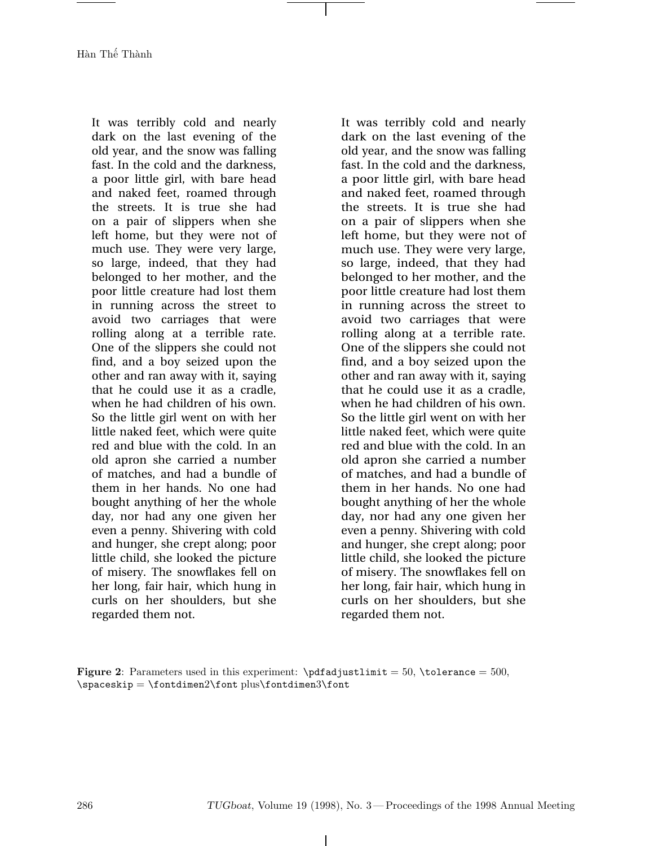Hàn Thế Thành

It was terribly cold and nearly dark on the last evening of the old year, and the snow was falling fast. In the cold and the darkness, a poor little girl, with bare head and naked feet, roamed through the streets. It is true she had on a pair of slippers when she left home, but they were not of much use. They were very large, so large, indeed, that they had belonged to her mother, and the poor little creature had lost them in running across the street to avoid two carriages that were rolling along at a terrible rate. One of the slippers she could not find, and a boy seized upon the other and ran away with it, saying that he could use it as a cradle, when he had children of his own. So the little girl went on with her little naked feet, which were quite red and blue with the cold. In an old apron she carried a number of matches, and had a bundle of them in her hands. No one had bought anything of her the whole day, nor had any one given her even a penny. Shivering with cold and hunger, she crept along; poor little child, she looked the picture of misery. The snowflakes fell on her long, fair hair, which hung in curls on her shoulders, but she regarded them not.

It was terribly cold and nearly dark on the last evening of the old year, and the snow was falling fast. In the cold and the darkness, a poor little girl, with bare head and naked feet, roamed through the streets. It is true she had on a pair of slippers when she left home, but they were not of much use. They were very large, so large, indeed, that they had belonged to her mother, and the poor little creature had lost them in running across the street to avoid two carriages that were rolling along at a terrible rate. One of the slippers she could not find, and a boy seized upon the other and ran away with it, saying that he could use it as a cradle, when he had children of his own. So the little girl went on with her little naked feet, which were quite red and blue with the cold. In an old apron she carried a number of matches, and had a bundle of them in her hands. No one had bought anything of her the whole day, nor had any one given her even a penny. Shivering with cold and hunger, she crept along; poor little child, she looked the picture of misery. The snowflakes fell on her long, fair hair, which hung in curls on her shoulders, but she regarded them not.

**Figure 2**: Parameters used in this experiment:  $\pfadjustlimit = 50, \to0$ erance = 500, \spaceskip = \fontdimen2\font plus\fontdimen3\font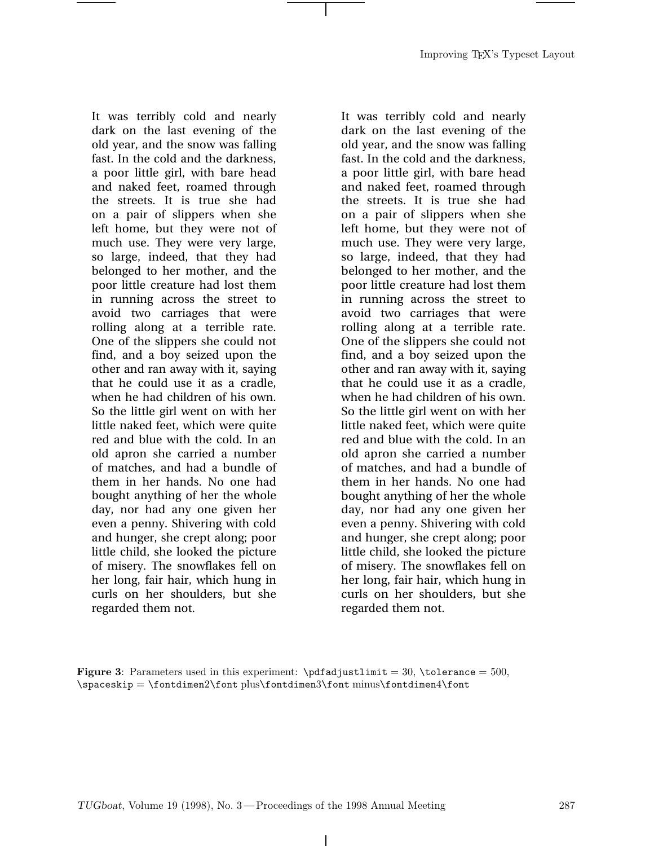It was terribly cold and nearly dark on the last evening of the old year, and the snow was falling fast. In the cold and the darkness, a poor little girl, with bare head and naked feet, roamed through the streets. It is true she had on a pair of slippers when she left home, but they were not of much use. They were very large, so large, indeed, that they had belonged to her mother, and the poor little creature had lost them in running across the street to avoid two carriages that were rolling along at a terrible rate. One of the slippers she could not find, and a boy seized upon the other and ran away with it, saying that he could use it as a cradle, when he had children of his own. So the little girl went on with her little naked feet, which were quite red and blue with the cold. In an old apron she carried a number of matches, and had a bundle of them in her hands. No one had bought anything of her the whole day, nor had any one given her even a penny. Shivering with cold and hunger, she crept along; poor little child, she looked the picture of misery. The snowflakes fell on her long, fair hair, which hung in curls on her shoulders, but she regarded them not.

It was terribly cold and nearly dark on the last evening of the old year, and the snow was falling fast. In the cold and the darkness, a poor little girl, with bare head and naked feet, roamed through the streets. It is true she had on a pair of slippers when she left home, but they were not of much use. They were very large, so large, indeed, that they had belonged to her mother, and the poor little creature had lost them in running across the street to avoid two carriages that were rolling along at a terrible rate. One of the slippers she could not find, and a boy seized upon the other and ran away with it, saying that he could use it as a cradle, when he had children of his own. So the little girl went on with her little naked feet, which were quite red and blue with the cold. In an old apron she carried a number of matches, and had a bundle of them in her hands. No one had bought anything of her the whole day, nor had any one given her even a penny. Shivering with cold and hunger, she crept along; poor little child, she looked the picture of misery. The snowflakes fell on her long, fair hair, which hung in curls on her shoulders, but she regarded them not.

**Figure 3**: Parameters used in this experiment:  $\pfadjustlimit = 30, \to0$ erance = 500, \spaceskip = \fontdimen2\font plus\fontdimen3\font minus\fontdimen4\font